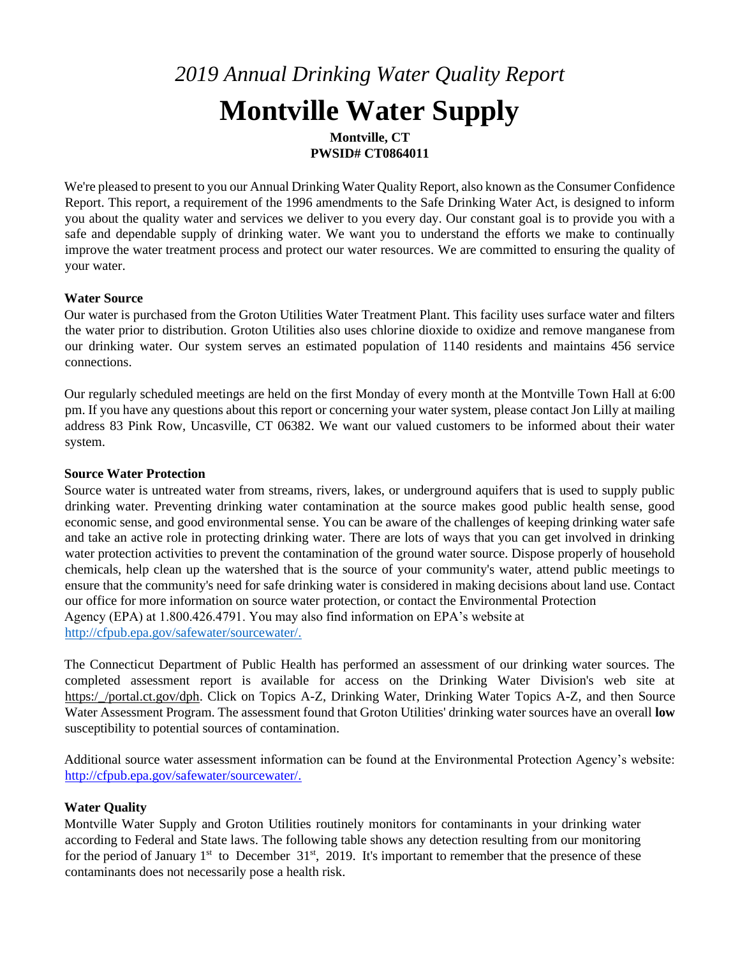# *2019 Annual Drinking Water Quality Report*  **Montville Water Supply**

**Montville, CT PWSID# CT0864011** 

We're pleased to present to you our Annual Drinking Water Quality Report, also known as the Consumer Confidence Report. This report, a requirement of the 1996 amendments to the Safe Drinking Water Act, is designed to inform you about the quality water and services we deliver to you every day. Our constant goal is to provide you with a safe and dependable supply of drinking water. We want you to understand the efforts we make to continually improve the water treatment process and protect our water resources. We are committed to ensuring the quality of your water.

#### **Water Source**

Our water is purchased from the Groton Utilities Water Treatment Plant. This facility uses surface water and filters the water prior to distribution. Groton Utilities also uses chlorine dioxide to oxidize and remove manganese from our drinking water. Our system serves an estimated population of 1140 residents and maintains 456 service connections.

Our regularly scheduled meetings are held on the first Monday of every month at the Montville Town Hall at 6:00 pm. If you have any questions about this report or concerning your water system, please contact Jon Lilly at mailing address 83 Pink Row, Uncasville, CT 06382. We want our valued customers to be informed about their water system.

#### **Source Water Protection**

Source water is untreated water from streams, rivers, lakes, or underground aquifers that is used to supply public drinking water. Preventing drinking water contamination at the source makes good public health sense, good economic sense, and good environmental sense. You can be aware of the challenges of keeping drinking water safe and take an active role in protecting drinking water. There are lots of ways that you can get involved in drinking water protection activities to prevent the contamination of the ground water source. Dispose properly of household chemicals, help clean up the watershed that is the source of your community's water, attend public meetings to ensure that the community's need for safe drinking water is considered in making decisions about land use. Contact our office for more information on source water protection, or contact the Environmental Protection Agency (EPA) at 1.800.426.4791. You may also find information on EPA's website at [http://cfpub.epa.gov/safewater/sourcewater/.](http://cfpub.epa.gov/safewater/sourcewater/)

The Connecticut Department of Public Health has performed an assessment of our drinking water sources. The completed assessment report is available for access on the Drinking Water Division's web site at https:/\_/portal.ct.gov/dph. Click on Topics A-Z, Drinking Water, Drinking Water Topics A-Z, and then Source Water Assessment Program. The assessment found that Groton Utilities' drinking water sources have an overall **low** susceptibility to potential sources of contamination.

Additional source water assessment information can be found at the Environmental Protection Agency's website: [http://cfpub.epa.gov/safewater/sourcewater/.](http://cfpub.epa.gov/safewater/sourcewater/)

#### **Water Quality**

Montville Water Supply and Groton Utilities routinely monitors for contaminants in your drinking water according to Federal and State laws. The following table shows any detection resulting from our monitoring for the period of January  $1<sup>st</sup>$  to December 31 $<sup>st</sup>$ , 2019. It's important to remember that the presence of these</sup> contaminants does not necessarily pose a health risk.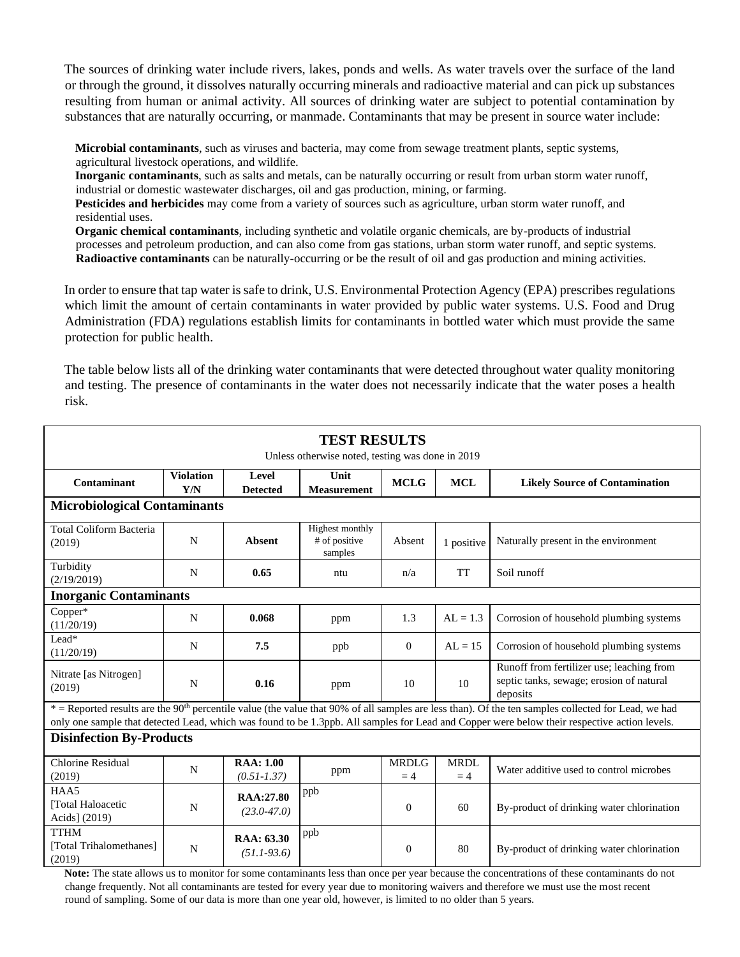The sources of drinking water include rivers, lakes, ponds and wells. As water travels over the surface of the land or through the ground, it dissolves naturally occurring minerals and radioactive material and can pick up substances resulting from human or animal activity. All sources of drinking water are subject to potential contamination by substances that are naturally occurring, or manmade. Contaminants that may be present in source water include:

**Microbial contaminants**, such as viruses and bacteria, may come from sewage treatment plants, septic systems, agricultural livestock operations, and wildlife.

**Inorganic contaminants**, such as salts and metals, can be naturally occurring or result from urban storm water runoff, industrial or domestic wastewater discharges, oil and gas production, mining, or farming.

**Pesticides and herbicides** may come from a variety of sources such as agriculture, urban storm water runoff, and residential uses.

**Organic chemical contaminants**, including synthetic and volatile organic chemicals, are by-products of industrial processes and petroleum production, and can also come from gas stations, urban storm water runoff, and septic systems. **Radioactive contaminants** can be naturally-occurring or be the result of oil and gas production and mining activities.

In order to ensure that tap water is safe to drink, U.S. Environmental Protection Agency (EPA) prescribes regulations which limit the amount of certain contaminants in water provided by public water systems. U.S. Food and Drug Administration (FDA) regulations establish limits for contaminants in bottled water which must provide the same protection for public health.

The table below lists all of the drinking water contaminants that were detected throughout water quality monitoring and testing. The presence of contaminants in the water does not necessarily indicate that the water poses a health risk.

| <b>TEST RESULTS</b><br>Unless otherwise noted, testing was done in 2019                                                                                                         |                         |                                     |                                                    |                      |                     |                                                                                                   |  |  |
|---------------------------------------------------------------------------------------------------------------------------------------------------------------------------------|-------------------------|-------------------------------------|----------------------------------------------------|----------------------|---------------------|---------------------------------------------------------------------------------------------------|--|--|
| Contaminant                                                                                                                                                                     | <b>Violation</b><br>Y/N | Level<br><b>Detected</b>            | Unit<br><b>Measurement</b>                         | <b>MCLG</b>          | <b>MCL</b>          | <b>Likely Source of Contamination</b>                                                             |  |  |
| <b>Microbiological Contaminants</b>                                                                                                                                             |                         |                                     |                                                    |                      |                     |                                                                                                   |  |  |
| <b>Total Coliform Bacteria</b><br>(2019)                                                                                                                                        | N                       | <b>Absent</b>                       | <b>Highest monthly</b><br># of positive<br>samples | Absent               | 1 positive          | Naturally present in the environment                                                              |  |  |
| Turbidity<br>(2/19/2019)                                                                                                                                                        | N                       | 0.65                                | ntu                                                | n/a                  | <b>TT</b>           | Soil runoff                                                                                       |  |  |
| <b>Inorganic Contaminants</b>                                                                                                                                                   |                         |                                     |                                                    |                      |                     |                                                                                                   |  |  |
| Copper*<br>(11/20/19)                                                                                                                                                           | N                       | 0.068                               | ppm                                                | 1.3                  | $AL = 1.3$          | Corrosion of household plumbing systems                                                           |  |  |
| Lead*<br>(11/20/19)                                                                                                                                                             | N                       | 7.5                                 | ppb                                                | $\overline{0}$       | $AL = 15$           | Corrosion of household plumbing systems                                                           |  |  |
| Nitrate [as Nitrogen]<br>(2019)                                                                                                                                                 | N                       | 0.16                                | ppm                                                | 10                   | 10                  | Runoff from fertilizer use; leaching from<br>septic tanks, sewage; erosion of natural<br>deposits |  |  |
| $*$ = Reported results are the 90 <sup>th</sup> percentile value (the value that 90% of all samples are less than). Of the ten samples collected for Lead, we had               |                         |                                     |                                                    |                      |                     |                                                                                                   |  |  |
| only one sample that detected Lead, which was found to be 1.3ppb. All samples for Lead and Copper were below their respective action levels.<br><b>Disinfection By-Products</b> |                         |                                     |                                                    |                      |                     |                                                                                                   |  |  |
| Chlorine Residual<br>(2019)                                                                                                                                                     | N                       | <b>RAA: 1.00</b><br>$(0.51 - 1.37)$ | ppm                                                | <b>MRDLG</b><br>$=4$ | <b>MRDL</b><br>$=4$ | Water additive used to control microbes                                                           |  |  |
| HAA5<br>[Total Haloacetic<br>Acids] (2019)                                                                                                                                      | N                       | RAA:27.80<br>$(23.0 - 47.0)$        | ppb                                                | $\overline{0}$       | 60                  | By-product of drinking water chlorination                                                         |  |  |
| <b>TTHM</b><br>[Total Trihalomethanes]<br>(2019)                                                                                                                                | N                       | RAA: 63.30<br>$(51.1-93.6)$         | ppb                                                | $\overline{0}$       | 80                  | By-product of drinking water chlorination                                                         |  |  |

**Note:** The state allows us to monitor for some contaminants less than once per year because the concentrations of these contaminants do not change frequently. Not all contaminants are tested for every year due to monitoring waivers and therefore we must use the most recent round of sampling. Some of our data is more than one year old, however, is limited to no older than 5 years.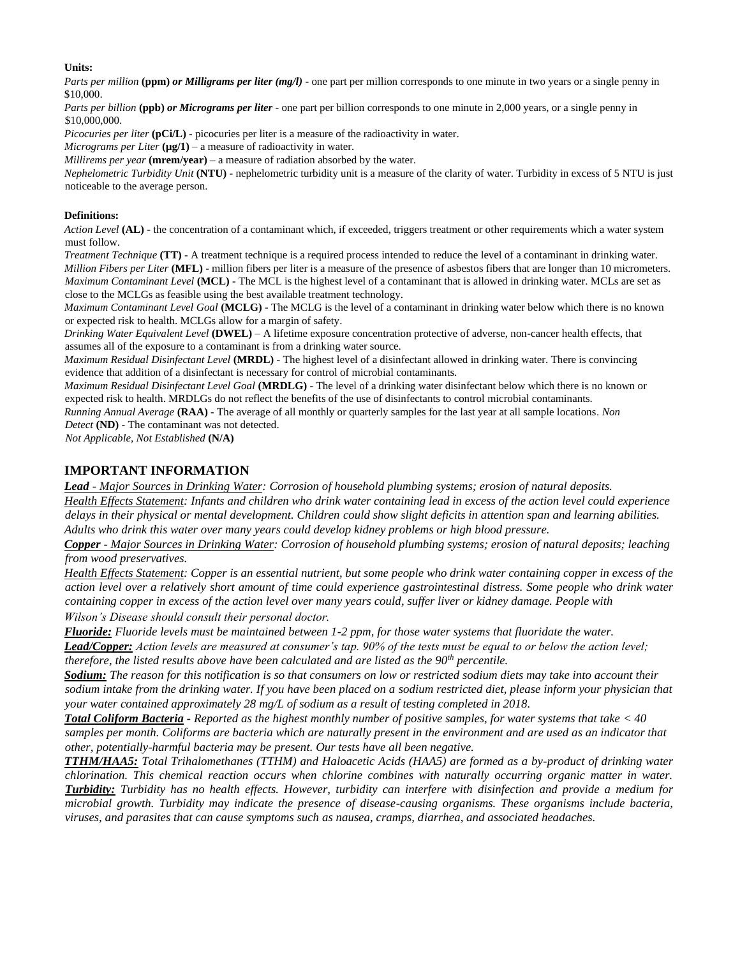#### **Units:**

*Parts per million* (ppm) *or Milligrams per liter (mg/l)* - one part per million corresponds to one minute in two years or a single penny in \$10,000.

*Parts per billion* **(ppb)** *or Micrograms per liter* - one part per billion corresponds to one minute in 2,000 years, or a single penny in \$10,000,000.

*Picocuries per liter* **(pCi/L)** - picocuries per liter is a measure of the radioactivity in water.

 $Microsoft$ *Micrograms per Liter* ( $\mu$ g/1) – a measure of radioactivity in water.

*Millirems per year* **(mrem/year)** – a measure of radiation absorbed by the water.

*Nephelometric Turbidity Unit* **(NTU)** - nephelometric turbidity unit is a measure of the clarity of water. Turbidity in excess of 5 NTU is just noticeable to the average person.

#### **Definitions:**

*Action Level* **(AL)** - the concentration of a contaminant which, if exceeded, triggers treatment or other requirements which a water system must follow.

*Treatment Technique* **(TT)** - A treatment technique is a required process intended to reduce the level of a contaminant in drinking water. *Million Fibers per Liter* **(MFL)** - million fibers per liter is a measure of the presence of asbestos fibers that are longer than 10 micrometers. *Maximum Contaminant Level* **(MCL)** - The MCL is the highest level of a contaminant that is allowed in drinking water. MCLs are set as close to the MCLGs as feasible using the best available treatment technology.

*Maximum Contaminant Level Goal* **(MCLG)** - The MCLG is the level of a contaminant in drinking water below which there is no known or expected risk to health. MCLGs allow for a margin of safety.

*Drinking Water Equivalent Level* **(DWEL)** *–* A lifetime exposure concentration protective of adverse, non-cancer health effects, that assumes all of the exposure to a contaminant is from a drinking water source.

*Maximum Residual Disinfectant Level* **(MRDL)** - The highest level of a disinfectant allowed in drinking water. There is convincing evidence that addition of a disinfectant is necessary for control of microbial contaminants.

*Maximum Residual Disinfectant Level Goal* **(MRDLG)** - The level of a drinking water disinfectant below which there is no known or expected risk to health. MRDLGs do not reflect the benefits of the use of disinfectants to control microbial contaminants.

*Running Annual Average* **(RAA) -** The average of all monthly or quarterly samples for the last year at all sample locations. *Non Detect* **(ND)** - The contaminant was not detected.

*Not Applicable, Not Established* **(N/A)** 

#### **IMPORTANT INFORMATION**

*Lead - Major Sources in Drinking Water: Corrosion of household plumbing systems; erosion of natural deposits. Health Effects Statement: Infants and children who drink water containing lead in excess of the action level could experience delays in their physical or mental development. Children could show slight deficits in attention span and learning abilities. Adults who drink this water over many years could develop kidney problems or high blood pressure.* 

#### *Copper - Major Sources in Drinking Water: Corrosion of household plumbing systems; erosion of natural deposits; leaching from wood preservatives.*

*Health Effects Statement: Copper is an essential nutrient, but some people who drink water containing copper in excess of the action level over a relatively short amount of time could experience gastrointestinal distress. Some people who drink water containing copper in excess of the action level over many years could, suffer liver or kidney damage. People with Wilson's Disease should consult their personal doctor.* 

*Fluoride: Fluoride levels must be maintained between 1-2 ppm, for those water systems that fluoridate the water.* 

*Lead/Copper: Action levels are measured at consumer's tap. 90% of the tests must be equal to or below the action level; therefore, the listed results above have been calculated and are listed as the 90th percentile.* 

*Sodium: The reason for this notification is so that consumers on low or restricted sodium diets may take into account their sodium intake from the drinking water. If you have been placed on a sodium restricted diet, please inform your physician that your water contained approximately 28 mg/L of sodium as a result of testing completed in 2018.* 

*Total Coliform Bacteria - Reported as the highest monthly number of positive samples, for water systems that take < 40 samples per month. Coliforms are bacteria which are naturally present in the environment and are used as an indicator that other, potentially-harmful bacteria may be present. Our tests have all been negative.* 

*TTHM/HAA5: Total Trihalomethanes (TTHM) and Haloacetic Acids (HAA5) are formed as a by-product of drinking water chlorination. This chemical reaction occurs when chlorine combines with naturally occurring organic matter in water. Turbidity: Turbidity has no health effects. However, turbidity can interfere with disinfection and provide a medium for microbial growth. Turbidity may indicate the presence of disease-causing organisms. These organisms include bacteria, viruses, and parasites that can cause symptoms such as nausea, cramps, diarrhea, and associated headaches.*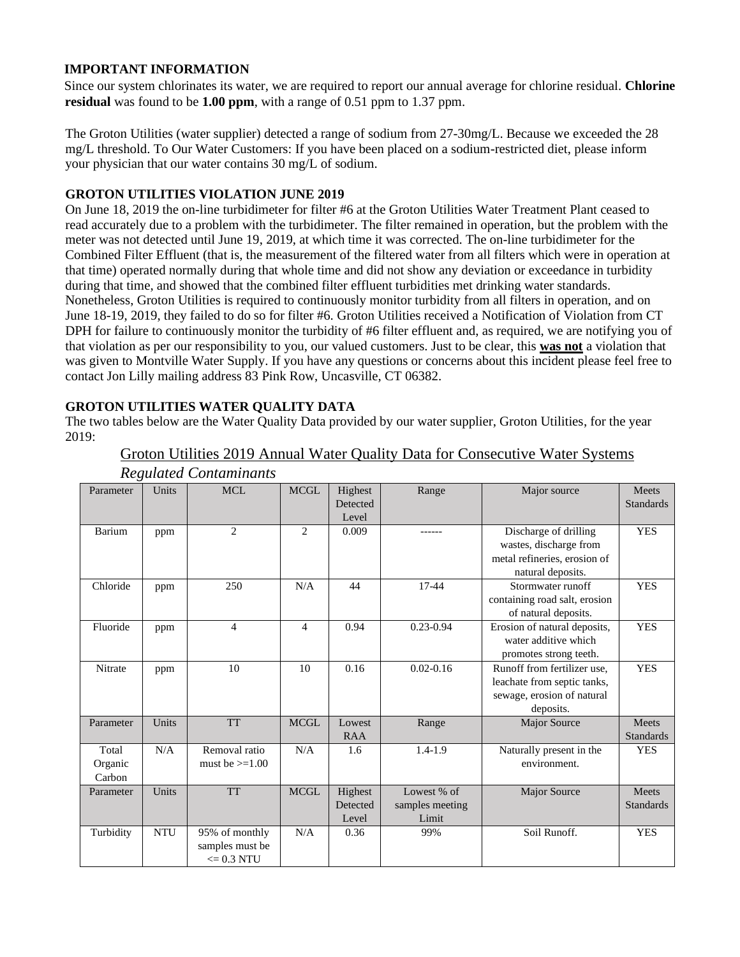## **IMPORTANT INFORMATION**

Since our system chlorinates its water, we are required to report our annual average for chlorine residual. **Chlorine residual** was found to be **1.00 ppm**, with a range of 0.51 ppm to 1.37 ppm.

The Groton Utilities (water supplier) detected a range of sodium from 27-30mg/L. Because we exceeded the 28 mg/L threshold. To Our Water Customers: If you have been placed on a sodium-restricted diet, please inform your physician that our water contains 30 mg/L of sodium.

### **GROTON UTILITIES VIOLATION JUNE 2019**

On June 18, 2019 the on-line turbidimeter for filter #6 at the Groton Utilities Water Treatment Plant ceased to read accurately due to a problem with the turbidimeter. The filter remained in operation, but the problem with the meter was not detected until June 19, 2019, at which time it was corrected. The on-line turbidimeter for the Combined Filter Effluent (that is, the measurement of the filtered water from all filters which were in operation at that time) operated normally during that whole time and did not show any deviation or exceedance in turbidity during that time, and showed that the combined filter effluent turbidities met drinking water standards. Nonetheless, Groton Utilities is required to continuously monitor turbidity from all filters in operation, and on June 18-19, 2019, they failed to do so for filter #6. Groton Utilities received a Notification of Violation from CT DPH for failure to continuously monitor the turbidity of #6 filter effluent and, as required, we are notifying you of that violation as per our responsibility to you, our valued customers. Just to be clear, this **was not** a violation that was given to Montville Water Supply. If you have any questions or concerns about this incident please feel free to contact Jon Lilly mailing address 83 Pink Row, Uncasville, CT 06382.

## **GROTON UTILITIES WATER QUALITY DATA**

The two tables below are the Water Quality Data provided by our water supplier, Groton Utilities, for the year 2019:

|                         | Groton Utilities 2019 Annual Water Quality Data for Consecutive Water Systems |
|-------------------------|-------------------------------------------------------------------------------|
| Requilated Contaminants |                                                                               |

| $\cdots \wedge \cdots$ |            |                      |             |            |                 |                               |                  |
|------------------------|------------|----------------------|-------------|------------|-----------------|-------------------------------|------------------|
| Parameter              | Units      | <b>MCL</b>           | <b>MCGL</b> | Highest    | Range           | Major source                  | Meets            |
|                        |            |                      |             | Detected   |                 |                               | <b>Standards</b> |
|                        |            |                      |             | Level      |                 |                               |                  |
| Barium                 | ppm        | $\overline{c}$       | 2           | 0.009      |                 | Discharge of drilling         | <b>YES</b>       |
|                        |            |                      |             |            |                 | wastes, discharge from        |                  |
|                        |            |                      |             |            |                 | metal refineries, erosion of  |                  |
|                        |            |                      |             |            |                 | natural deposits.             |                  |
| Chloride               | ppm        | 250                  | N/A         | 44         | 17-44           | Stormwater runoff             | <b>YES</b>       |
|                        |            |                      |             |            |                 | containing road salt, erosion |                  |
|                        |            |                      |             |            |                 | of natural deposits.          |                  |
| Fluoride               | ppm        | $\overline{4}$       | 4           | 0.94       | $0.23 - 0.94$   | Erosion of natural deposits,  | <b>YES</b>       |
|                        |            |                      |             |            |                 | water additive which          |                  |
|                        |            |                      |             |            |                 | promotes strong teeth.        |                  |
| Nitrate                | ppm        | 10                   | 10          | 0.16       | $0.02 - 0.16$   | Runoff from fertilizer use.   | <b>YES</b>       |
|                        |            |                      |             |            |                 | leachate from septic tanks,   |                  |
|                        |            |                      |             |            |                 | sewage, erosion of natural    |                  |
|                        |            |                      |             |            |                 | deposits.                     |                  |
| Parameter              | Units      | <b>TT</b>            | $\sf MCGL$  | Lowest     | Range           | <b>Major Source</b>           | <b>Meets</b>     |
|                        |            |                      |             | <b>RAA</b> |                 |                               | <b>Standards</b> |
| Total                  | N/A        | Removal ratio        | N/A         | 1.6        | $1.4 - 1.9$     | Naturally present in the      | <b>YES</b>       |
| Organic                |            | must be $>=1.00$     |             |            |                 | environment.                  |                  |
| Carbon                 |            |                      |             |            |                 |                               |                  |
| Parameter              | Units      | <b>TT</b>            | <b>MCGL</b> | Highest    | Lowest % of     | <b>Major Source</b>           | <b>Meets</b>     |
|                        |            |                      |             | Detected   | samples meeting |                               | <b>Standards</b> |
|                        |            |                      |             | Level      | Limit           |                               |                  |
| Turbidity              | <b>NTU</b> | 95% of monthly       | N/A         | 0.36       | 99%             | Soil Runoff.                  | <b>YES</b>       |
|                        |            | samples must be      |             |            |                 |                               |                  |
|                        |            | $\epsilon = 0.3$ NTU |             |            |                 |                               |                  |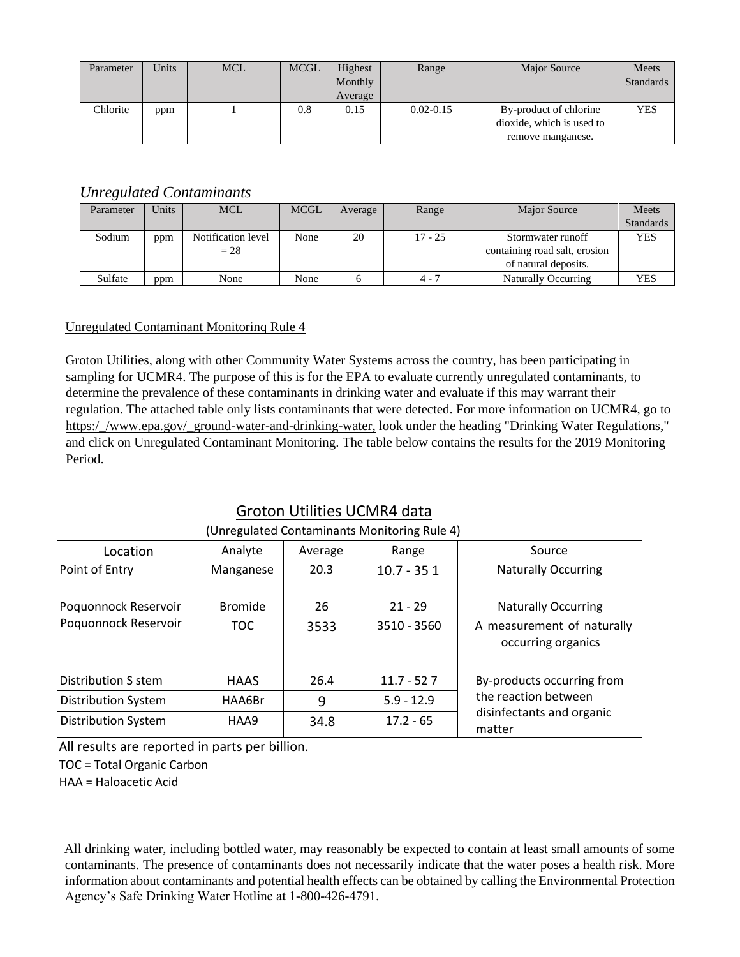| Parameter | Units | <b>MCL</b> | <b>MCGL</b> | Highest<br>Monthly<br>Average | Range         | <b>Major Source</b>                                                      | Meets<br><b>Standards</b> |
|-----------|-------|------------|-------------|-------------------------------|---------------|--------------------------------------------------------------------------|---------------------------|
| Chlorite  | ppm   |            | 0.8         | 0.15                          | $0.02 - 0.15$ | By-product of chlorine<br>dioxide, which is used to<br>remove manganese. | <b>YES</b>                |

# *Unregulated Contaminants*

| Parameter | Units | <b>MCL</b>         | <b>MCGL</b> | Average | Range     | Major Source                  | Meets            |
|-----------|-------|--------------------|-------------|---------|-----------|-------------------------------|------------------|
|           |       |                    |             |         |           |                               | <b>Standards</b> |
| Sodium    | ppm   | Notification level | None        | 20      | $17 - 25$ | Stormwater runoff             | <b>YES</b>       |
|           |       | $= 28$             |             |         |           | containing road salt, erosion |                  |
|           |       |                    |             |         |           | of natural deposits.          |                  |
| Sulfate   | ppm   | None               | None        |         | $4 - 7$   | <b>Naturally Occurring</b>    | <b>YES</b>       |

## Unregulated Contaminant Monitorinq Rule 4

Groton Utilities, along with other Community Water Systems across the country, has been participating in sampling for UCMR4. The purpose of this is for the EPA to evaluate currently unregulated contaminants, to determine the prevalence of these contaminants in drinking water and evaluate if this may warrant their regulation. The attached table only lists contaminants that were detected. For more information on UCMR4, go to https://www.epa.gov/ground-water-and-drinking-water, look under the heading "Drinking Water Regulations," and click on Unregulated Contaminant Monitoring. The table below contains the results for the 2019 Monitoring Period.

# Groton Utilities UCMR4 data

| onic galacca contaminants informed ing naic +/ |                |         |              |                                                  |  |  |  |  |
|------------------------------------------------|----------------|---------|--------------|--------------------------------------------------|--|--|--|--|
| Location                                       | Analyte        | Average | Range        | Source                                           |  |  |  |  |
| Point of Entry                                 | Manganese      | 20.3    | $10.7 - 351$ | <b>Naturally Occurring</b>                       |  |  |  |  |
| Poquonnock Reservoir                           | <b>Bromide</b> | 26      | $21 - 29$    | <b>Naturally Occurring</b>                       |  |  |  |  |
| Poquonnock Reservoir                           | <b>TOC</b>     | 3533    | 3510 - 3560  | A measurement of naturally<br>occurring organics |  |  |  |  |
| Distribution S stem                            | <b>HAAS</b>    | 26.4    | $11.7 - 527$ | By-products occurring from                       |  |  |  |  |
| <b>Distribution System</b>                     | HAA6Br         | 9       | $5.9 - 12.9$ | the reaction between                             |  |  |  |  |
| <b>Distribution System</b>                     | HAA9           | 34.8    | $17.2 - 65$  | disinfectants and organic<br>matter              |  |  |  |  |

# (Unregulated Contaminants Monitoring Rule 4)

All results are reported in parts per billion.

TOC = Total Organic Carbon

HAA = Haloacetic Acid

All drinking water, including bottled water, may reasonably be expected to contain at least small amounts of some contaminants. The presence of contaminants does not necessarily indicate that the water poses a health risk. More information about contaminants and potential health effects can be obtained by calling the Environmental Protection Agency's Safe Drinking Water Hotline at 1-800-426-4791.